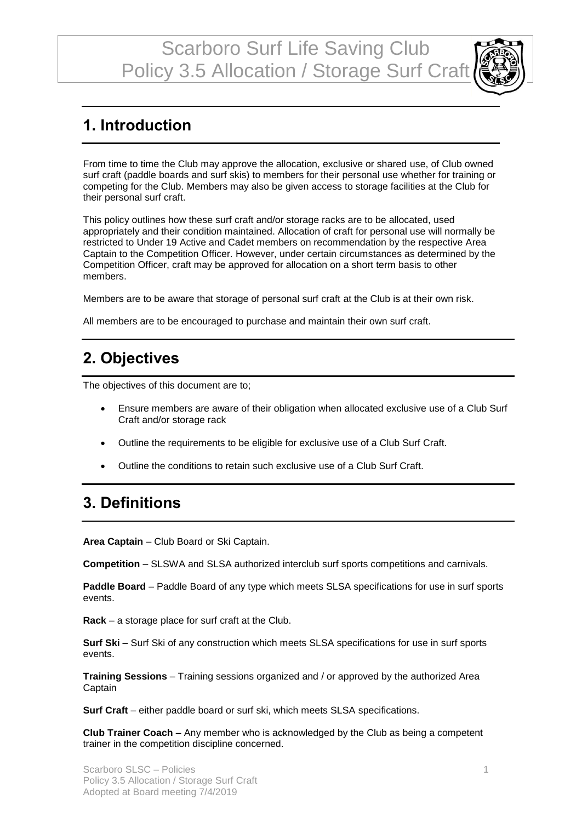Scarboro Surf Life Saving Club Policy 3.5 Allocation / Storage Surf Craft



# **1. Introduction**

From time to time the Club may approve the allocation, exclusive or shared use, of Club owned surf craft (paddle boards and surf skis) to members for their personal use whether for training or competing for the Club. Members may also be given access to storage facilities at the Club for their personal surf craft.

This policy outlines how these surf craft and/or storage racks are to be allocated, used appropriately and their condition maintained. Allocation of craft for personal use will normally be restricted to Under 19 Active and Cadet members on recommendation by the respective Area Captain to the Competition Officer. However, under certain circumstances as determined by the Competition Officer, craft may be approved for allocation on a short term basis to other members.

Members are to be aware that storage of personal surf craft at the Club is at their own risk.

All members are to be encouraged to purchase and maintain their own surf craft.

## **2. Objectives**

The objectives of this document are to;

- Ensure members are aware of their obligation when allocated exclusive use of a Club Surf Craft and/or storage rack
- Outline the requirements to be eligible for exclusive use of a Club Surf Craft.
- Outline the conditions to retain such exclusive use of a Club Surf Craft.

# **3. Definitions**

**Area Captain** – Club Board or Ski Captain.

**Competition** – SLSWA and SLSA authorized interclub surf sports competitions and carnivals.

**Paddle Board** – Paddle Board of any type which meets SLSA specifications for use in surf sports events.

**Rack** – a storage place for surf craft at the Club.

**Surf Ski** – Surf Ski of any construction which meets SLSA specifications for use in surf sports events.

**Training Sessions** – Training sessions organized and / or approved by the authorized Area **Captain** 

**Surf Craft** – either paddle board or surf ski, which meets SLSA specifications.

**Club Trainer Coach** – Any member who is acknowledged by the Club as being a competent trainer in the competition discipline concerned.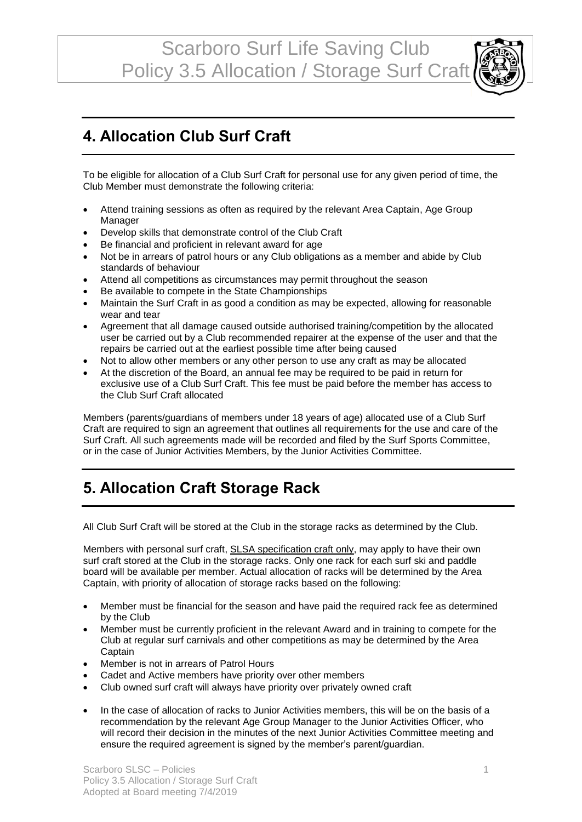Scarboro Surf Life Saving Club Policy 3.5 Allocation / Storage Surf Craft



#### **4. Allocation Club Surf Craft**

To be eligible for allocation of a Club Surf Craft for personal use for any given period of time, the Club Member must demonstrate the following criteria:

- Attend training sessions as often as required by the relevant Area Captain, Age Group Manager
- Develop skills that demonstrate control of the Club Craft
- Be financial and proficient in relevant award for age
- Not be in arrears of patrol hours or any Club obligations as a member and abide by Club standards of behaviour
- Attend all competitions as circumstances may permit throughout the season
- Be available to compete in the State Championships
- Maintain the Surf Craft in as good a condition as may be expected, allowing for reasonable wear and tear
- Agreement that all damage caused outside authorised training/competition by the allocated user be carried out by a Club recommended repairer at the expense of the user and that the repairs be carried out at the earliest possible time after being caused
- Not to allow other members or any other person to use any craft as may be allocated
- At the discretion of the Board, an annual fee may be required to be paid in return for exclusive use of a Club Surf Craft. This fee must be paid before the member has access to the Club Surf Craft allocated

Members (parents/guardians of members under 18 years of age) allocated use of a Club Surf Craft are required to sign an agreement that outlines all requirements for the use and care of the Surf Craft. All such agreements made will be recorded and filed by the Surf Sports Committee, or in the case of Junior Activities Members, by the Junior Activities Committee.

## **5. Allocation Craft Storage Rack**

All Club Surf Craft will be stored at the Club in the storage racks as determined by the Club.

Members with personal surf craft, **SLSA specification craft only**, may apply to have their own surf craft stored at the Club in the storage racks. Only one rack for each surf ski and paddle board will be available per member. Actual allocation of racks will be determined by the Area Captain, with priority of allocation of storage racks based on the following:

- Member must be financial for the season and have paid the required rack fee as determined by the Club
- Member must be currently proficient in the relevant Award and in training to compete for the Club at regular surf carnivals and other competitions as may be determined by the Area **Captain**
- Member is not in arrears of Patrol Hours
- Cadet and Active members have priority over other members
- Club owned surf craft will always have priority over privately owned craft
- In the case of allocation of racks to Junior Activities members, this will be on the basis of a recommendation by the relevant Age Group Manager to the Junior Activities Officer, who will record their decision in the minutes of the next Junior Activities Committee meeting and ensure the required agreement is signed by the member's parent/guardian.